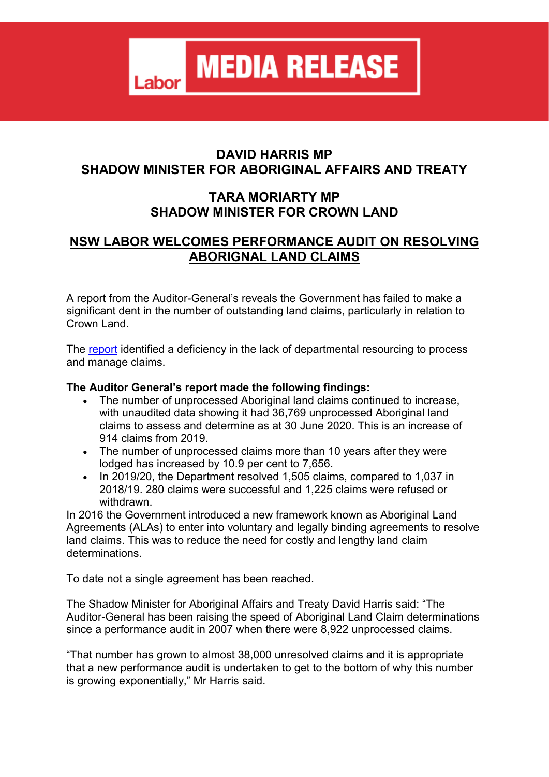**MEDIA RELEASE** 

### **DAVID HARRIS MP SHADOW MINISTER FOR ABORIGINAL AFFAIRS AND TREATY**

## **TARA MORIARTY MP SHADOW MINISTER FOR CROWN LAND**

# **NSW LABOR WELCOMES PERFORMANCE AUDIT ON RESOLVING ABORIGNAL LAND CLAIMS**

A report from the Auditor-General's reveals the Government has failed to make a significant dent in the number of outstanding land claims, particularly in relation to Crown Land.

The [report](https://nswlabor.us3.list-manage.com/track/click?u=f92fa3552d9500c0d795f1b20&id=7f0dcdf217&e=b9f09264c9) identified a deficiency in the lack of departmental resourcing to process and manage claims.

### **The Auditor General's report made the following findings:**

Labor

- The number of unprocessed Aboriginal land claims continued to increase, with unaudited data showing it had 36,769 unprocessed Aboriginal land claims to assess and determine as at 30 June 2020. This is an increase of 914 claims from 2019.
- The number of unprocessed claims more than 10 years after they were lodged has increased by 10.9 per cent to 7,656.
- In 2019/20, the Department resolved 1,505 claims, compared to 1,037 in 2018/19. 280 claims were successful and 1,225 claims were refused or withdrawn.

In 2016 the Government introduced a new framework known as Aboriginal Land Agreements (ALAs) to enter into voluntary and legally binding agreements to resolve land claims. This was to reduce the need for costly and lengthy land claim determinations.

To date not a single agreement has been reached.

The Shadow Minister for Aboriginal Affairs and Treaty David Harris said: "The Auditor-General has been raising the speed of Aboriginal Land Claim determinations since a performance audit in 2007 when there were 8,922 unprocessed claims.

"That number has grown to almost 38,000 unresolved claims and it is appropriate that a new performance audit is undertaken to get to the bottom of why this number is growing exponentially," Mr Harris said.